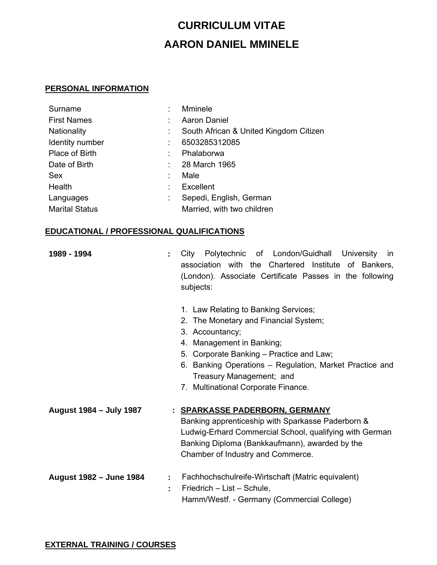## **CURRICULUM VITAE AARON DANIEL MMINELE**

## **PERSONAL INFORMATION**

| Surname               | <b>Mminele</b>                         |
|-----------------------|----------------------------------------|
| <b>First Names</b>    | <b>Aaron Daniel</b>                    |
| <b>Nationality</b>    | South African & United Kingdom Citizen |
| Identity number       | 6503285312085                          |
| Place of Birth        | Phalaborwa                             |
| Date of Birth         | 28 March 1965                          |
| <b>Sex</b>            | Male                                   |
| Health                | Excellent                              |
| Languages             | Sepedi, English, German                |
| <b>Marital Status</b> | Married, with two children             |

## **EDUCATIONAL / PROFESSIONAL QUALIFICATIONS**

| 1989 - 1994             |    | Polytechnic of London/Guidhall University<br>City<br>in.<br>association with the Chartered Institute of Bankers,<br>(London). Associate Certificate Passes in the following<br>subjects:                                                                                                                |
|-------------------------|----|---------------------------------------------------------------------------------------------------------------------------------------------------------------------------------------------------------------------------------------------------------------------------------------------------------|
|                         |    | 1. Law Relating to Banking Services;<br>2. The Monetary and Financial System;<br>3. Accountancy;<br>4. Management in Banking;<br>5. Corporate Banking - Practice and Law;<br>6. Banking Operations - Regulation, Market Practice and<br>Treasury Management; and<br>7. Multinational Corporate Finance. |
| August 1984 - July 1987 |    | : SPARKASSE PADERBORN, GERMANY<br>Banking apprenticeship with Sparkasse Paderborn &<br>Ludwig-Erhard Commercial School, qualifying with German<br>Banking Diploma (Bankkaufmann), awarded by the<br>Chamber of Industry and Commerce.                                                                   |
| August 1982 - June 1984 | ÷. | Fachhochschulreife-Wirtschaft (Matric equivalent)<br>Friedrich - List - Schule,<br>Hamm/Westf. - Germany (Commercial College)                                                                                                                                                                           |

## **EXTERNAL TRAINING / COURSES**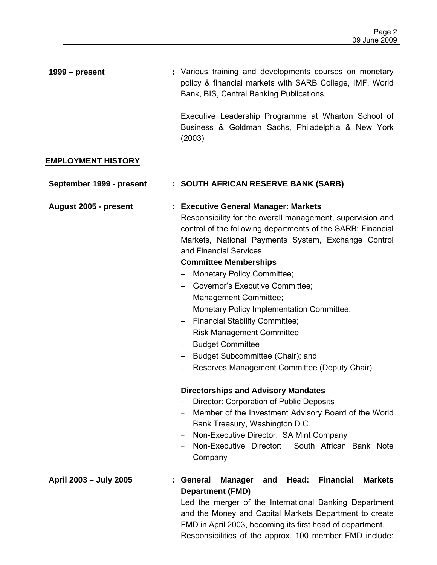| $1999 - present$          | : Various training and developments courses on monetary<br>policy & financial markets with SARB College, IMF, World<br>Bank, BIS, Central Banking Publications                                                                                                                                                                                                                                                                                                                                                                                                                                                                                                                                                                                                                                                                                                                                         |
|---------------------------|--------------------------------------------------------------------------------------------------------------------------------------------------------------------------------------------------------------------------------------------------------------------------------------------------------------------------------------------------------------------------------------------------------------------------------------------------------------------------------------------------------------------------------------------------------------------------------------------------------------------------------------------------------------------------------------------------------------------------------------------------------------------------------------------------------------------------------------------------------------------------------------------------------|
|                           | Executive Leadership Programme at Wharton School of<br>Business & Goldman Sachs, Philadelphia & New York<br>(2003)                                                                                                                                                                                                                                                                                                                                                                                                                                                                                                                                                                                                                                                                                                                                                                                     |
| <b>EMPLOYMENT HISTORY</b> |                                                                                                                                                                                                                                                                                                                                                                                                                                                                                                                                                                                                                                                                                                                                                                                                                                                                                                        |
| September 1999 - present  | : SOUTH AFRICAN RESERVE BANK (SARB)                                                                                                                                                                                                                                                                                                                                                                                                                                                                                                                                                                                                                                                                                                                                                                                                                                                                    |
| August 2005 - present     | : Executive General Manager: Markets<br>Responsibility for the overall management, supervision and<br>control of the following departments of the SARB: Financial<br>Markets, National Payments System, Exchange Control<br>and Financial Services.<br><b>Committee Memberships</b><br>- Monetary Policy Committee;<br>- Governor's Executive Committee;<br>- Management Committee;<br>- Monetary Policy Implementation Committee;<br>- Financial Stability Committee;<br>- Risk Management Committee<br>- Budget Committee<br>- Budget Subcommittee (Chair); and<br>Reserves Management Committee (Deputy Chair)<br><b>Directorships and Advisory Mandates</b><br>Director: Corporation of Public Deposits<br>Member of the Investment Advisory Board of the World<br>Bank Treasury, Washington D.C.<br>Non-Executive Director: SA Mint Company<br>South African Bank Note<br>Non-Executive Director: |
| April 2003 - July 2005    | Company<br><b>Financial</b><br>Head:<br><b>Markets</b><br>General<br><b>Manager</b><br>and<br><b>Department (FMD)</b><br>Led the merger of the International Banking Department                                                                                                                                                                                                                                                                                                                                                                                                                                                                                                                                                                                                                                                                                                                        |
|                           | and the Manoy and Conital Merkete Department to create                                                                                                                                                                                                                                                                                                                                                                                                                                                                                                                                                                                                                                                                                                                                                                                                                                                 |

and the Money and Capital Markets Department to create FMD in April 2003, becoming its first head of department. Responsibilities of the approx. 100 member FMD include: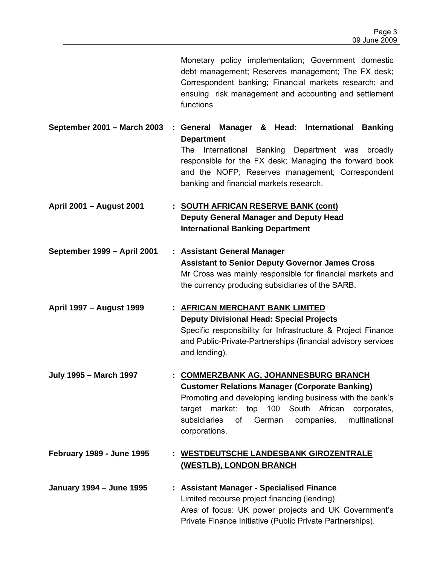|                                  | Monetary policy implementation; Government domestic<br>debt management; Reserves management; The FX desk;<br>Correspondent banking; Financial markets research; and<br>ensuing risk management and accounting and settlement<br>functions                                                                  |
|----------------------------------|------------------------------------------------------------------------------------------------------------------------------------------------------------------------------------------------------------------------------------------------------------------------------------------------------------|
| September 2001 - March 2003      | Manager & Head: International Banking<br>: General<br><b>Department</b><br>International Banking Department was<br>The<br>broadly<br>responsible for the FX desk; Managing the forward book<br>and the NOFP; Reserves management; Correspondent<br>banking and financial markets research.                 |
| April 2001 - August 2001         | : SOUTH AFRICAN RESERVE BANK (cont)<br><b>Deputy General Manager and Deputy Head</b><br><b>International Banking Department</b>                                                                                                                                                                            |
| September 1999 - April 2001      | : Assistant General Manager<br><b>Assistant to Senior Deputy Governor James Cross</b><br>Mr Cross was mainly responsible for financial markets and<br>the currency producing subsidiaries of the SARB.                                                                                                     |
| April 1997 - August 1999         | : AFRICAN MERCHANT BANK LIMITED<br><b>Deputy Divisional Head: Special Projects</b><br>Specific responsibility for Infrastructure & Project Finance<br>and Public-Private-Partnerships (financial advisory services<br>and lending).                                                                        |
| <b>July 1995 - March 1997</b>    | <b>COMMERZBANK AG, JOHANNESBURG BRANCH</b><br><b>Customer Relations Manager (Corporate Banking)</b><br>Promoting and developing lending business with the bank's<br>target market:<br>top 100 South African<br>corporates,<br>subsidiaries<br>multinational<br>of<br>German<br>companies,<br>corporations. |
| <b>February 1989 - June 1995</b> | : WESTDEUTSCHE LANDESBANK GIROZENTRALE<br>(WESTLB), LONDON BRANCH                                                                                                                                                                                                                                          |
| <b>January 1994 - June 1995</b>  | : Assistant Manager - Specialised Finance<br>Limited recourse project financing (lending)<br>Area of focus: UK power projects and UK Government's<br>Private Finance Initiative (Public Private Partnerships).                                                                                             |